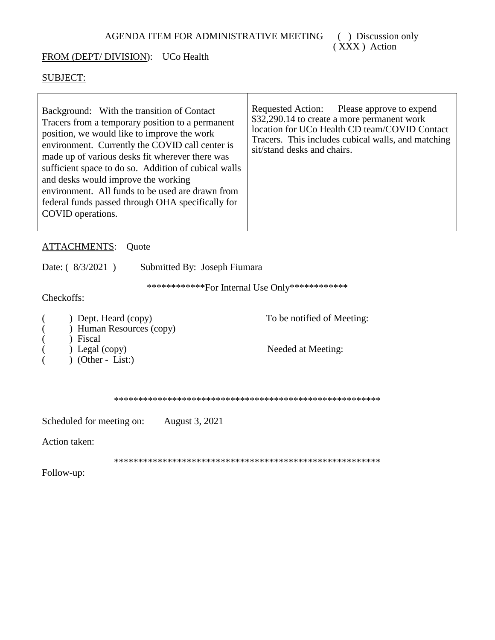## FROM (DEPT/ DIVISION): UCo Health

## SUBJECT:

| Background: With the transition of Contact<br>Tracers from a temporary position to a permanent<br>position, we would like to improve the work<br>environment. Currently the COVID call center is<br>made up of various desks fit wherever there was<br>sufficient space to do so. Addition of cubical walls<br>and desks would improve the working<br>environment. All funds to be used are drawn from<br>federal funds passed through OHA specifically for<br>COVID operations. | Requested Action: Please approve to expend<br>\$32,290.14 to create a more permanent work<br>location for UCo Health CD team/COVID Contact<br>Tracers. This includes cubical walls, and matching<br>sit/stand desks and chairs. |
|----------------------------------------------------------------------------------------------------------------------------------------------------------------------------------------------------------------------------------------------------------------------------------------------------------------------------------------------------------------------------------------------------------------------------------------------------------------------------------|---------------------------------------------------------------------------------------------------------------------------------------------------------------------------------------------------------------------------------|
|----------------------------------------------------------------------------------------------------------------------------------------------------------------------------------------------------------------------------------------------------------------------------------------------------------------------------------------------------------------------------------------------------------------------------------------------------------------------------------|---------------------------------------------------------------------------------------------------------------------------------------------------------------------------------------------------------------------------------|

## ATTACHMENTS: Quote

Date: (  $8/3/2021$  ) Submitted By: Joseph Fiumara

\*\*\*\*\*\*\*\*\*\*\*\*For Internal Use Only\*\*\*\*\*\*\*\*\*\*\*\*

Checkoffs:

| ) Dept. Heard (copy)     | To be notified of Meeting: |
|--------------------------|----------------------------|
| ) Human Resources (copy) |                            |
| Fiscal                   |                            |
| $)$ Legal (copy)         | Needed at Meeting:         |
| $(Other - List.)$        |                            |
|                          |                            |

\*\*\*\*\*\*\*\*\*\*\*\*\*\*\*\*\*\*\*\*\*\*\*\*\*\*\*\*\*\*\*\*\*\*\*\*\*\*\*\*\*\*\*\*\*\*\*\*\*\*\*\*\*\*\*

Scheduled for meeting on: August 3, 2021

Action taken:

\*\*\*\*\*\*\*\*\*\*\*\*\*\*\*\*\*\*\*\*\*\*\*\*\*\*\*\*\*\*\*\*\*\*\*\*\*\*\*\*\*\*\*\*\*\*\*\*\*\*\*\*\*\*\*

Follow-up: